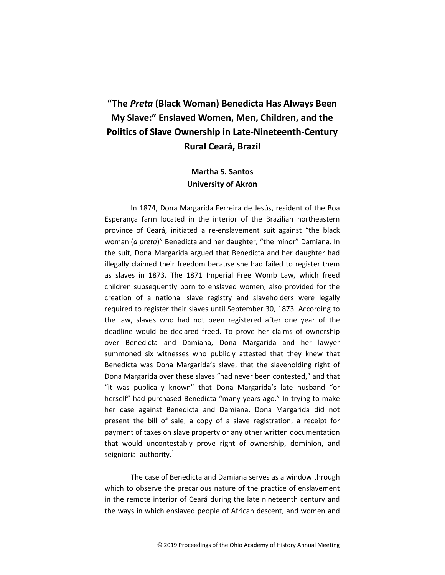## "The Preta (Black Woman) Benedicta Has Always Been My Slave:" Enslaved Women, Men, Children, and the Politics of Slave Ownership in Late-Nineteenth-Century Rural Ceará, Brazil

## Martha S. Santos University of Akron

In 1874, Dona Margarida Ferreira de Jesús, resident of the Boa Esperança farm located in the interior of the Brazilian northeastern province of Ceará, initiated a re-enslavement suit against "the black woman (a preta)" Benedicta and her daughter, "the minor" Damiana. In the suit, Dona Margarida argued that Benedicta and her daughter had illegally claimed their freedom because she had failed to register them as slaves in 1873. The 1871 Imperial Free Womb Law, which freed children subsequently born to enslaved women, also provided for the creation of a national slave registry and slaveholders were legally required to register their slaves until September 30, 1873. According to the law, slaves who had not been registered after one year of the deadline would be declared freed. To prove her claims of ownership over Benedicta and Damiana, Dona Margarida and her lawyer summoned six witnesses who publicly attested that they knew that Benedicta was Dona Margarida's slave, that the slaveholding right of Dona Margarida over these slaves "had never been contested," and that "it was publically known" that Dona Margarida's late husband "or herself" had purchased Benedicta "many years ago." In trying to make her case against Benedicta and Damiana, Dona Margarida did not present the bill of sale, a copy of a slave registration, a receipt for payment of taxes on slave property or any other written documentation that would uncontestably prove right of ownership, dominion, and seigniorial authority. $1$ 

The case of Benedicta and Damiana serves as a window through which to observe the precarious nature of the practice of enslavement in the remote interior of Ceará during the late nineteenth century and the ways in which enslaved people of African descent, and women and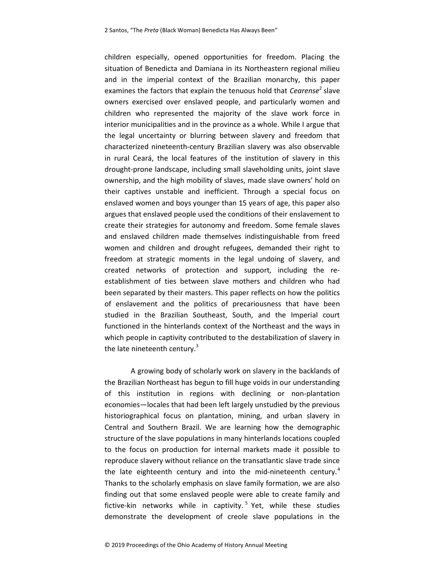children especially, opened opportunities for freedom. Placing the situation of Benedicta and Damiana in its Northeastern regional milieu and in the imperial context of the Brazilian monarchy, this paper examines the factors that explain the tenuous hold that  $\mathcal C$ earense<sup>2</sup> slave owners exercised over enslaved people, and particularly women and children who represented the majority of the slave work force in interior municipalities and in the province as a whole. While I argue that the legal uncertainty or blurring between slavery and freedom that characterized nineteenth-century Brazilian slavery was also observable in rural Ceará, the local features of the institution of slavery in this drought-prone landscape, including small slaveholding units, joint slave ownership, and the high mobility of slaves, made slave owners' hold on their captives unstable and inefficient. Through a special focus on enslaved women and boys younger than 15 years of age, this paper also argues that enslaved people used the conditions of their enslavement to create their strategies for autonomy and freedom. Some female slaves and enslaved children made themselves indistinguishable from freed women and children and drought refugees, demanded their right to freedom at strategic moments in the legal undoing of slavery, and created networks of protection and support, including the reestablishment of ties between slave mothers and children who had been separated by their masters. This paper reflects on how the politics of enslavement and the politics of precariousness that have been studied in the Brazilian Southeast, South, and the Imperial court functioned in the hinterlands context of the Northeast and the ways in which people in captivity contributed to the destabilization of slavery in the late nineteenth century.<sup>3</sup>

A growing body of scholarly work on slavery in the backlands of the Brazilian Northeast has begun to fill huge voids in our understanding of this institution in regions with declining or non-plantation economies—locales that had been left largely unstudied by the previous historiographical focus on plantation, mining, and urban slavery in Central and Southern Brazil. We are learning how the demographic structure of the slave populations in many hinterlands locations coupled to the focus on production for internal markets made it possible to reproduce slavery without reliance on the transatlantic slave trade since the late eighteenth century and into the mid-nineteenth century.<sup>4</sup> Thanks to the scholarly emphasis on slave family formation, we are also finding out that some enslaved people were able to create family and fictive-kin networks while in captivity.<sup>5</sup> Yet, while these studies demonstrate the development of creole slave populations in the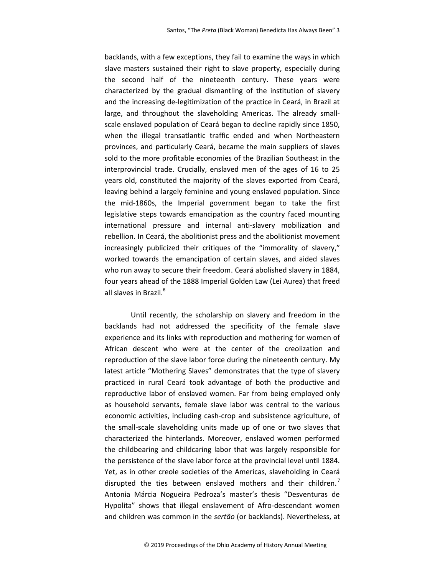backlands, with a few exceptions, they fail to examine the ways in which slave masters sustained their right to slave property, especially during the second half of the nineteenth century. These years were characterized by the gradual dismantling of the institution of slavery and the increasing de-legitimization of the practice in Ceará, in Brazil at large, and throughout the slaveholding Americas. The already smallscale enslaved population of Ceará began to decline rapidly since 1850, when the illegal transatlantic traffic ended and when Northeastern provinces, and particularly Ceará, became the main suppliers of slaves sold to the more profitable economies of the Brazilian Southeast in the interprovincial trade. Crucially, enslaved men of the ages of 16 to 25 years old, constituted the majority of the slaves exported from Ceará, leaving behind a largely feminine and young enslaved population. Since the mid-1860s, the Imperial government began to take the first legislative steps towards emancipation as the country faced mounting international pressure and internal anti-slavery mobilization and rebellion. In Ceará, the abolitionist press and the abolitionist movement increasingly publicized their critiques of the "immorality of slavery," worked towards the emancipation of certain slaves, and aided slaves who run away to secure their freedom. Ceará abolished slavery in 1884, four years ahead of the 1888 Imperial Golden Law (Lei Aurea) that freed all slaves in Brazil.<sup>6</sup>

Until recently, the scholarship on slavery and freedom in the backlands had not addressed the specificity of the female slave experience and its links with reproduction and mothering for women of African descent who were at the center of the creolization and reproduction of the slave labor force during the nineteenth century. My latest article "Mothering Slaves" demonstrates that the type of slavery practiced in rural Ceará took advantage of both the productive and reproductive labor of enslaved women. Far from being employed only as household servants, female slave labor was central to the various economic activities, including cash-crop and subsistence agriculture, of the small-scale slaveholding units made up of one or two slaves that characterized the hinterlands. Moreover, enslaved women performed the childbearing and childcaring labor that was largely responsible for the persistence of the slave labor force at the provincial level until 1884. Yet, as in other creole societies of the Americas, slaveholding in Ceará disrupted the ties between enslaved mothers and their children.<sup>7</sup> Antonia Márcia Nogueira Pedroza's master's thesis "Desventuras de Hypolita" shows that illegal enslavement of Afro-descendant women and children was common in the *sertão* (or backlands). Nevertheless, at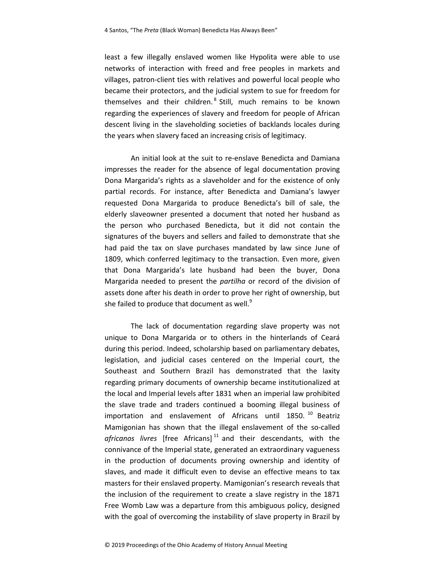least a few illegally enslaved women like Hypolita were able to use networks of interaction with freed and free peoples in markets and villages, patron-client ties with relatives and powerful local people who became their protectors, and the judicial system to sue for freedom for themselves and their children.<sup>8</sup> Still, much remains to be known regarding the experiences of slavery and freedom for people of African descent living in the slaveholding societies of backlands locales during the years when slavery faced an increasing crisis of legitimacy.

An initial look at the suit to re-enslave Benedicta and Damiana impresses the reader for the absence of legal documentation proving Dona Margarida's rights as a slaveholder and for the existence of only partial records. For instance, after Benedicta and Damiana's lawyer requested Dona Margarida to produce Benedicta's bill of sale, the elderly slaveowner presented a document that noted her husband as the person who purchased Benedicta, but it did not contain the signatures of the buyers and sellers and failed to demonstrate that she had paid the tax on slave purchases mandated by law since June of 1809, which conferred legitimacy to the transaction. Even more, given that Dona Margarida's late husband had been the buyer, Dona Margarida needed to present the *partilha* or record of the division of assets done after his death in order to prove her right of ownership, but she failed to produce that document as well. $9$ 

The lack of documentation regarding slave property was not unique to Dona Margarida or to others in the hinterlands of Ceará during this period. Indeed, scholarship based on parliamentary debates, legislation, and judicial cases centered on the Imperial court, the Southeast and Southern Brazil has demonstrated that the laxity regarding primary documents of ownership became institutionalized at the local and Imperial levels after 1831 when an imperial law prohibited the slave trade and traders continued a booming illegal business of importation and enslavement of Africans until 1850.<sup>10</sup> Beatriz Mamigonian has shown that the illegal enslavement of the so-called africanos livres [free Africans]<sup>11</sup> and their descendants, with the connivance of the Imperial state, generated an extraordinary vagueness in the production of documents proving ownership and identity of slaves, and made it difficult even to devise an effective means to tax masters for their enslaved property. Mamigonian's research reveals that the inclusion of the requirement to create a slave registry in the 1871 Free Womb Law was a departure from this ambiguous policy, designed with the goal of overcoming the instability of slave property in Brazil by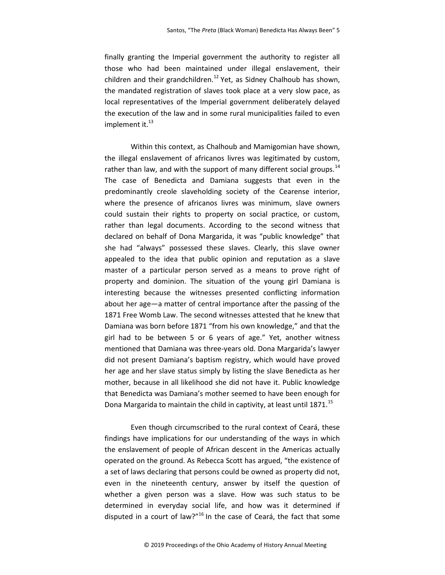finally granting the Imperial government the authority to register all those who had been maintained under illegal enslavement, their children and their grandchildren.<sup>12</sup> Yet, as Sidney Chalhoub has shown, the mandated registration of slaves took place at a very slow pace, as local representatives of the Imperial government deliberately delayed the execution of the law and in some rural municipalities failed to even implement it. $^{13}$ 

Within this context, as Chalhoub and Mamigomian have shown, the illegal enslavement of africanos livres was legitimated by custom, rather than law, and with the support of many different social groups.<sup>14</sup> The case of Benedicta and Damiana suggests that even in the predominantly creole slaveholding society of the Cearense interior, where the presence of africanos livres was minimum, slave owners could sustain their rights to property on social practice, or custom, rather than legal documents. According to the second witness that declared on behalf of Dona Margarida, it was "public knowledge" that she had "always" possessed these slaves. Clearly, this slave owner appealed to the idea that public opinion and reputation as a slave master of a particular person served as a means to prove right of property and dominion. The situation of the young girl Damiana is interesting because the witnesses presented conflicting information about her age—a matter of central importance after the passing of the 1871 Free Womb Law. The second witnesses attested that he knew that Damiana was born before 1871 "from his own knowledge," and that the girl had to be between 5 or 6 years of age." Yet, another witness mentioned that Damiana was three-years old. Dona Margarida's lawyer did not present Damiana's baptism registry, which would have proved her age and her slave status simply by listing the slave Benedicta as her mother, because in all likelihood she did not have it. Public knowledge that Benedicta was Damiana's mother seemed to have been enough for Dona Margarida to maintain the child in captivity, at least until  $1871$ <sup>15</sup>

Even though circumscribed to the rural context of Ceará, these findings have implications for our understanding of the ways in which the enslavement of people of African descent in the Americas actually operated on the ground. As Rebecca Scott has argued, "the existence of a set of laws declaring that persons could be owned as property did not, even in the nineteenth century, answer by itself the question of whether a given person was a slave. How was such status to be determined in everyday social life, and how was it determined if disputed in a court of law?" $16$  In the case of Ceará, the fact that some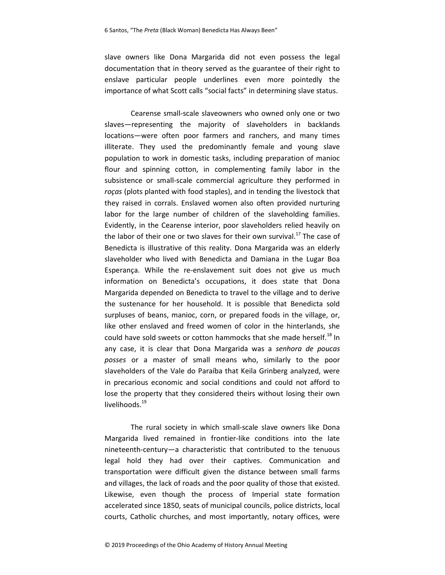slave owners like Dona Margarida did not even possess the legal documentation that in theory served as the guarantee of their right to enslave particular people underlines even more pointedly the importance of what Scott calls "social facts" in determining slave status.

Cearense small-scale slaveowners who owned only one or two slaves—representing the majority of slaveholders in backlands locations—were often poor farmers and ranchers, and many times illiterate. They used the predominantly female and young slave population to work in domestic tasks, including preparation of manioc flour and spinning cotton, in complementing family labor in the subsistence or small-scale commercial agriculture they performed in roças (plots planted with food staples), and in tending the livestock that they raised in corrals. Enslaved women also often provided nurturing labor for the large number of children of the slaveholding families. Evidently, in the Cearense interior, poor slaveholders relied heavily on the labor of their one or two slaves for their own survival. $^{17}$  The case of Benedicta is illustrative of this reality. Dona Margarida was an elderly slaveholder who lived with Benedicta and Damiana in the Lugar Boa Esperança. While the re-enslavement suit does not give us much information on Benedicta's occupations, it does state that Dona Margarida depended on Benedicta to travel to the village and to derive the sustenance for her household. It is possible that Benedicta sold surpluses of beans, manioc, corn, or prepared foods in the village, or, like other enslaved and freed women of color in the hinterlands, she could have sold sweets or cotton hammocks that she made herself.<sup>18</sup> In any case, it is clear that Dona Margarida was a senhora de poucas posses or a master of small means who, similarly to the poor slaveholders of the Vale do Paraíba that Keila Grinberg analyzed, were in precarious economic and social conditions and could not afford to lose the property that they considered theirs without losing their own livelihoods.<sup>19</sup>

The rural society in which small-scale slave owners like Dona Margarida lived remained in frontier-like conditions into the late nineteenth-century—a characteristic that contributed to the tenuous legal hold they had over their captives. Communication and transportation were difficult given the distance between small farms and villages, the lack of roads and the poor quality of those that existed. Likewise, even though the process of Imperial state formation accelerated since 1850, seats of municipal councils, police districts, local courts, Catholic churches, and most importantly, notary offices, were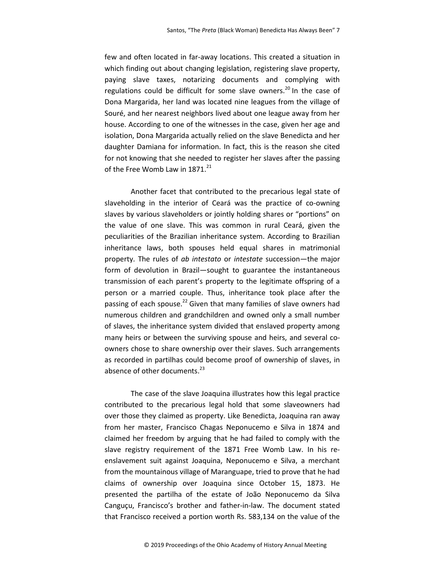few and often located in far-away locations. This created a situation in which finding out about changing legislation, registering slave property, paying slave taxes, notarizing documents and complying with regulations could be difficult for some slave owners.<sup>20</sup> In the case of Dona Margarida, her land was located nine leagues from the village of Souré, and her nearest neighbors lived about one league away from her house. According to one of the witnesses in the case, given her age and isolation, Dona Margarida actually relied on the slave Benedicta and her daughter Damiana for information. In fact, this is the reason she cited for not knowing that she needed to register her slaves after the passing of the Free Womb Law in  $1871.<sup>21</sup>$ 

Another facet that contributed to the precarious legal state of slaveholding in the interior of Ceará was the practice of co-owning slaves by various slaveholders or jointly holding shares or "portions" on the value of one slave. This was common in rural Ceará, given the peculiarities of the Brazilian inheritance system. According to Brazilian inheritance laws, both spouses held equal shares in matrimonial property. The rules of ab intestato or intestate succession—the major form of devolution in Brazil—sought to guarantee the instantaneous transmission of each parent's property to the legitimate offspring of a person or a married couple. Thus, inheritance took place after the passing of each spouse.<sup>22</sup> Given that many families of slave owners had numerous children and grandchildren and owned only a small number of slaves, the inheritance system divided that enslaved property among many heirs or between the surviving spouse and heirs, and several coowners chose to share ownership over their slaves. Such arrangements as recorded in partilhas could become proof of ownership of slaves, in absence of other documents.<sup>23</sup>

The case of the slave Joaquina illustrates how this legal practice contributed to the precarious legal hold that some slaveowners had over those they claimed as property. Like Benedicta, Joaquina ran away from her master, Francisco Chagas Neponucemo e Silva in 1874 and claimed her freedom by arguing that he had failed to comply with the slave registry requirement of the 1871 Free Womb Law. In his reenslavement suit against Joaquina, Neponucemo e Silva, a merchant from the mountainous village of Maranguape, tried to prove that he had claims of ownership over Joaquina since October 15, 1873. He presented the partilha of the estate of João Neponucemo da Silva Canguçu, Francisco's brother and father-in-law. The document stated that Francisco received a portion worth Rs. 583,134 on the value of the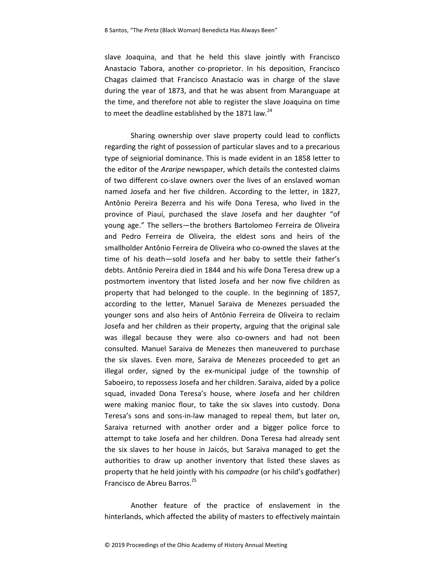slave Joaquina, and that he held this slave jointly with Francisco Anastacio Tabora, another co-proprietor. In his deposition, Francisco Chagas claimed that Francisco Anastacio was in charge of the slave during the year of 1873, and that he was absent from Maranguape at the time, and therefore not able to register the slave Joaquina on time to meet the deadline established by the 1871 law.<sup>24</sup>

Sharing ownership over slave property could lead to conflicts regarding the right of possession of particular slaves and to a precarious type of seigniorial dominance. This is made evident in an 1858 letter to the editor of the Araripe newspaper, which details the contested claims of two different co-slave owners over the lives of an enslaved woman named Josefa and her five children. According to the letter, in 1827, Antônio Pereira Bezerra and his wife Dona Teresa, who lived in the province of Piauí, purchased the slave Josefa and her daughter "of young age." The sellers―the brothers Bartolomeo Ferreira de Oliveira and Pedro Ferreira de Oliveira, the eldest sons and heirs of the smallholder Antônio Ferreira de Oliveira who co-owned the slaves at the time of his death—sold Josefa and her baby to settle their father's debts. Antônio Pereira died in 1844 and his wife Dona Teresa drew up a postmortem inventory that listed Josefa and her now five children as property that had belonged to the couple. In the beginning of 1857, according to the letter, Manuel Saraiva de Menezes persuaded the younger sons and also heirs of Antônio Ferreira de Oliveira to reclaim Josefa and her children as their property, arguing that the original sale was illegal because they were also co-owners and had not been consulted. Manuel Saraiva de Menezes then maneuvered to purchase the six slaves. Even more, Saraiva de Menezes proceeded to get an illegal order, signed by the ex-municipal judge of the township of Saboeiro, to repossess Josefa and her children. Saraiva, aided by a police squad, invaded Dona Teresa's house, where Josefa and her children were making manioc flour, to take the six slaves into custody. Dona Teresa's sons and sons-in-law managed to repeal them, but later on, Saraiva returned with another order and a bigger police force to attempt to take Josefa and her children. Dona Teresa had already sent the six slaves to her house in Jaicós, but Saraiva managed to get the authorities to draw up another inventory that listed these slaves as property that he held jointly with his compadre (or his child's godfather) Francisco de Abreu Barros.<sup>25</sup>

Another feature of the practice of enslavement in the hinterlands, which affected the ability of masters to effectively maintain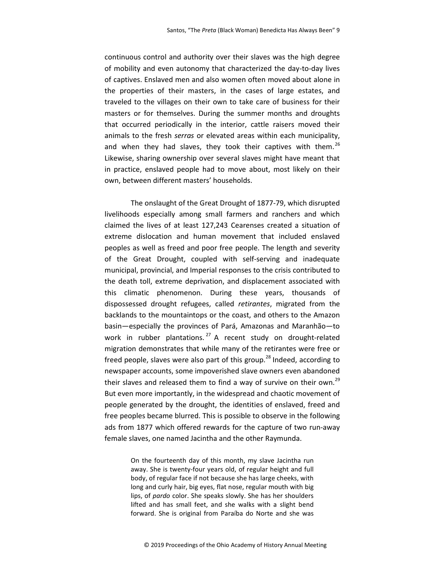continuous control and authority over their slaves was the high degree of mobility and even autonomy that characterized the day-to-day lives of captives. Enslaved men and also women often moved about alone in the properties of their masters, in the cases of large estates, and traveled to the villages on their own to take care of business for their masters or for themselves. During the summer months and droughts that occurred periodically in the interior, cattle raisers moved their animals to the fresh serras or elevated areas within each municipality, and when they had slaves, they took their captives with them.<sup>26</sup> Likewise, sharing ownership over several slaves might have meant that in practice, enslaved people had to move about, most likely on their own, between different masters' households.

The onslaught of the Great Drought of 1877-79, which disrupted livelihoods especially among small farmers and ranchers and which claimed the lives of at least 127,243 Cearenses created a situation of extreme dislocation and human movement that included enslaved peoples as well as freed and poor free people. The length and severity of the Great Drought, coupled with self-serving and inadequate municipal, provincial, and Imperial responses to the crisis contributed to the death toll, extreme deprivation, and displacement associated with this climatic phenomenon. During these years, thousands of dispossessed drought refugees, called retirantes, migrated from the backlands to the mountaintops or the coast, and others to the Amazon basin—especially the provinces of Pará, Amazonas and Maranhão—to work in rubber plantations.  $27$  A recent study on drought-related migration demonstrates that while many of the retirantes were free or freed people, slaves were also part of this group.<sup>28</sup> Indeed, according to newspaper accounts, some impoverished slave owners even abandoned their slaves and released them to find a way of survive on their own.<sup>29</sup> But even more importantly, in the widespread and chaotic movement of people generated by the drought, the identities of enslaved, freed and free peoples became blurred. This is possible to observe in the following ads from 1877 which offered rewards for the capture of two run-away female slaves, one named Jacintha and the other Raymunda.

> On the fourteenth day of this month, my slave Jacintha run away. She is twenty-four years old, of regular height and full body, of regular face if not because she has large cheeks, with long and curly hair, big eyes, flat nose, regular mouth with big lips, of pardo color. She speaks slowly. She has her shoulders lifted and has small feet, and she walks with a slight bend forward. She is original from Paraíba do Norte and she was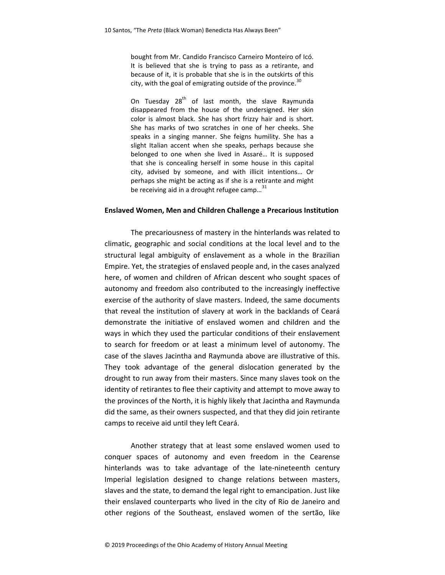bought from Mr. Candido Francisco Carneiro Monteiro of Icó. It is believed that she is trying to pass as a retirante, and because of it, it is probable that she is in the outskirts of this city, with the goal of emigrating outside of the province. $30$ 

On Tuesday 28<sup>th</sup> of last month, the slave Raymunda disappeared from the house of the undersigned. Her skin color is almost black. She has short frizzy hair and is short. She has marks of two scratches in one of her cheeks. She speaks in a singing manner. She feigns humility. She has a slight Italian accent when she speaks, perhaps because she belonged to one when she lived in Assaré… It is supposed that she is concealing herself in some house in this capital city, advised by someone, and with illicit intentions… Or perhaps she might be acting as if she is a retirante and might be receiving aid in a drought refugee camp... $31$ 

## Enslaved Women, Men and Children Challenge a Precarious Institution

The precariousness of mastery in the hinterlands was related to climatic, geographic and social conditions at the local level and to the structural legal ambiguity of enslavement as a whole in the Brazilian Empire. Yet, the strategies of enslaved people and, in the cases analyzed here, of women and children of African descent who sought spaces of autonomy and freedom also contributed to the increasingly ineffective exercise of the authority of slave masters. Indeed, the same documents that reveal the institution of slavery at work in the backlands of Ceará demonstrate the initiative of enslaved women and children and the ways in which they used the particular conditions of their enslavement to search for freedom or at least a minimum level of autonomy. The case of the slaves Jacintha and Raymunda above are illustrative of this. They took advantage of the general dislocation generated by the drought to run away from their masters. Since many slaves took on the identity of retirantes to flee their captivity and attempt to move away to the provinces of the North, it is highly likely that Jacintha and Raymunda did the same, as their owners suspected, and that they did join retirante camps to receive aid until they left Ceará.

Another strategy that at least some enslaved women used to conquer spaces of autonomy and even freedom in the Cearense hinterlands was to take advantage of the late-nineteenth century Imperial legislation designed to change relations between masters, slaves and the state, to demand the legal right to emancipation. Just like their enslaved counterparts who lived in the city of Rio de Janeiro and other regions of the Southeast, enslaved women of the sertão, like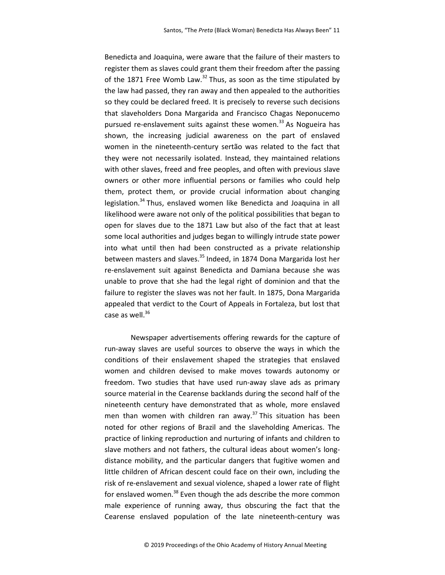Benedicta and Joaquina, were aware that the failure of their masters to register them as slaves could grant them their freedom after the passing of the 1871 Free Womb Law. $^{32}$  Thus, as soon as the time stipulated by the law had passed, they ran away and then appealed to the authorities so they could be declared freed. It is precisely to reverse such decisions that slaveholders Dona Margarida and Francisco Chagas Neponucemo pursued re-enslavement suits against these women.<sup>33</sup> As Nogueira has shown, the increasing judicial awareness on the part of enslaved women in the nineteenth-century sertão was related to the fact that they were not necessarily isolated. Instead, they maintained relations with other slaves, freed and free peoples, and often with previous slave owners or other more influential persons or families who could help them, protect them, or provide crucial information about changing legislation.<sup>34</sup> Thus, enslaved women like Benedicta and Joaquina in all likelihood were aware not only of the political possibilities that began to open for slaves due to the 1871 Law but also of the fact that at least some local authorities and judges began to willingly intrude state power into what until then had been constructed as a private relationship between masters and slaves.<sup>35</sup> Indeed, in 1874 Dona Margarida lost her re-enslavement suit against Benedicta and Damiana because she was unable to prove that she had the legal right of dominion and that the failure to register the slaves was not her fault. In 1875, Dona Margarida appealed that verdict to the Court of Appeals in Fortaleza, but lost that case as well. $36$ 

 Newspaper advertisements offering rewards for the capture of run-away slaves are useful sources to observe the ways in which the conditions of their enslavement shaped the strategies that enslaved women and children devised to make moves towards autonomy or freedom. Two studies that have used run-away slave ads as primary source material in the Cearense backlands during the second half of the nineteenth century have demonstrated that as whole, more enslaved men than women with children ran away.<sup>37</sup> This situation has been noted for other regions of Brazil and the slaveholding Americas. The practice of linking reproduction and nurturing of infants and children to slave mothers and not fathers, the cultural ideas about women's longdistance mobility, and the particular dangers that fugitive women and little children of African descent could face on their own, including the risk of re-enslavement and sexual violence, shaped a lower rate of flight for enslaved women.<sup>38</sup> Even though the ads describe the more common male experience of running away, thus obscuring the fact that the Cearense enslaved population of the late nineteenth-century was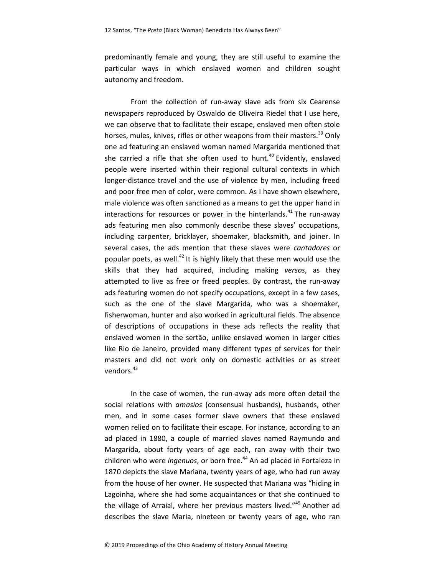predominantly female and young, they are still useful to examine the particular ways in which enslaved women and children sought autonomy and freedom.

From the collection of run-away slave ads from six Cearense newspapers reproduced by Oswaldo de Oliveira Riedel that I use here, we can observe that to facilitate their escape, enslaved men often stole horses, mules, knives, rifles or other weapons from their masters.<sup>39</sup> Only one ad featuring an enslaved woman named Margarida mentioned that she carried a rifle that she often used to hunt. $40$  Evidently, enslaved people were inserted within their regional cultural contexts in which longer-distance travel and the use of violence by men, including freed and poor free men of color, were common. As I have shown elsewhere, male violence was often sanctioned as a means to get the upper hand in interactions for resources or power in the hinterlands. $^{41}$  The run-away ads featuring men also commonly describe these slaves' occupations, including carpenter, bricklayer, shoemaker, blacksmith, and joiner. In several cases, the ads mention that these slaves were cantadores or popular poets, as well. $42$  It is highly likely that these men would use the skills that they had acquired, including making versos, as they attempted to live as free or freed peoples. By contrast, the run-away ads featuring women do not specify occupations, except in a few cases, such as the one of the slave Margarida, who was a shoemaker, fisherwoman, hunter and also worked in agricultural fields. The absence of descriptions of occupations in these ads reflects the reality that enslaved women in the sertão, unlike enslaved women in larger cities like Rio de Janeiro, provided many different types of services for their masters and did not work only on domestic activities or as street vendors.<sup>43</sup>

In the case of women, the run-away ads more often detail the social relations with *amasios* (consensual husbands), husbands, other men, and in some cases former slave owners that these enslaved women relied on to facilitate their escape. For instance, according to an ad placed in 1880, a couple of married slaves named Raymundo and Margarida, about forty years of age each, ran away with their two children who were *ingenuos*, or born free.<sup>44</sup> An ad placed in Fortaleza in 1870 depicts the slave Mariana, twenty years of age, who had run away from the house of her owner. He suspected that Mariana was "hiding in Lagoinha, where she had some acquaintances or that she continued to the village of Arraial, where her previous masters lived."<sup>45</sup> Another ad describes the slave Maria, nineteen or twenty years of age, who ran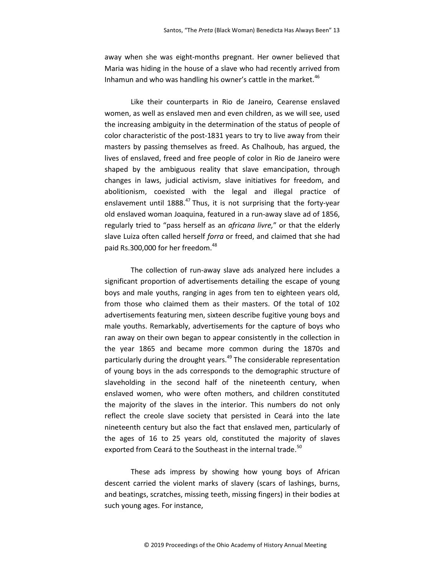away when she was eight-months pregnant. Her owner believed that Maria was hiding in the house of a slave who had recently arrived from Inhamun and who was handling his owner's cattle in the market. $46$ 

Like their counterparts in Rio de Janeiro, Cearense enslaved women, as well as enslaved men and even children, as we will see, used the increasing ambiguity in the determination of the status of people of color characteristic of the post-1831 years to try to live away from their masters by passing themselves as freed. As Chalhoub, has argued, the lives of enslaved, freed and free people of color in Rio de Janeiro were shaped by the ambiguous reality that slave emancipation, through changes in laws, judicial activism, slave initiatives for freedom, and abolitionism, coexisted with the legal and illegal practice of enslavement until  $1888<sup>47</sup>$  Thus, it is not surprising that the forty-year old enslaved woman Joaquina, featured in a run-away slave ad of 1856, regularly tried to "pass herself as an *africana livre*," or that the elderly slave Luiza often called herself forra or freed, and claimed that she had paid Rs.300,000 for her freedom.<sup>48</sup>

 The collection of run-away slave ads analyzed here includes a significant proportion of advertisements detailing the escape of young boys and male youths, ranging in ages from ten to eighteen years old, from those who claimed them as their masters. Of the total of 102 advertisements featuring men, sixteen describe fugitive young boys and male youths. Remarkably, advertisements for the capture of boys who ran away on their own began to appear consistently in the collection in the year 1865 and became more common during the 1870s and particularly during the drought years.<sup>49</sup> The considerable representation of young boys in the ads corresponds to the demographic structure of slaveholding in the second half of the nineteenth century, when enslaved women, who were often mothers, and children constituted the majority of the slaves in the interior. This numbers do not only reflect the creole slave society that persisted in Ceará into the late nineteenth century but also the fact that enslaved men, particularly of the ages of 16 to 25 years old, constituted the majority of slaves exported from Ceará to the Southeast in the internal trade.<sup>50</sup>

These ads impress by showing how young boys of African descent carried the violent marks of slavery (scars of lashings, burns, and beatings, scratches, missing teeth, missing fingers) in their bodies at such young ages. For instance,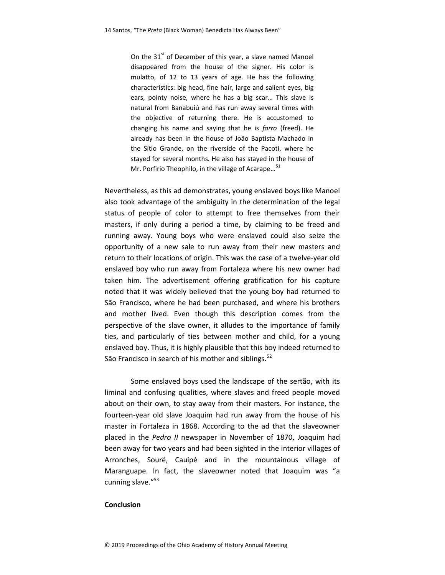On the  $31<sup>st</sup>$  of December of this year, a slave named Manoel disappeared from the house of the signer. His color is mulatto, of 12 to 13 years of age. He has the following characteristics: big head, fine hair, large and salient eyes, big ears, pointy noise, where he has a big scar… This slave is natural from Banabuiú and has run away several times with the objective of returning there. He is accustomed to changing his name and saying that he is forro (freed). He already has been in the house of João Baptista Machado in the Sítio Grande, on the riverside of the Pacotí, where he stayed for several months. He also has stayed in the house of Mr. Porfirio Theophilo, in the village of Acarape...<sup>51</sup>

Nevertheless, as this ad demonstrates, young enslaved boys like Manoel also took advantage of the ambiguity in the determination of the legal status of people of color to attempt to free themselves from their masters, if only during a period a time, by claiming to be freed and running away. Young boys who were enslaved could also seize the opportunity of a new sale to run away from their new masters and return to their locations of origin. This was the case of a twelve-year old enslaved boy who run away from Fortaleza where his new owner had taken him. The advertisement offering gratification for his capture noted that it was widely believed that the young boy had returned to São Francisco, where he had been purchased, and where his brothers and mother lived. Even though this description comes from the perspective of the slave owner, it alludes to the importance of family ties, and particularly of ties between mother and child, for a young enslaved boy. Thus, it is highly plausible that this boy indeed returned to São Francisco in search of his mother and siblings.<sup>52</sup>

 Some enslaved boys used the landscape of the sertão, with its liminal and confusing qualities, where slaves and freed people moved about on their own, to stay away from their masters. For instance, the fourteen-year old slave Joaquim had run away from the house of his master in Fortaleza in 1868. According to the ad that the slaveowner placed in the Pedro II newspaper in November of 1870, Joaquim had been away for two years and had been sighted in the interior villages of Arronches, Souré, Cauipé and in the mountainous village of Maranguape. In fact, the slaveowner noted that Joaquim was "a cunning slave."<sup>53</sup>

## **Conclusion**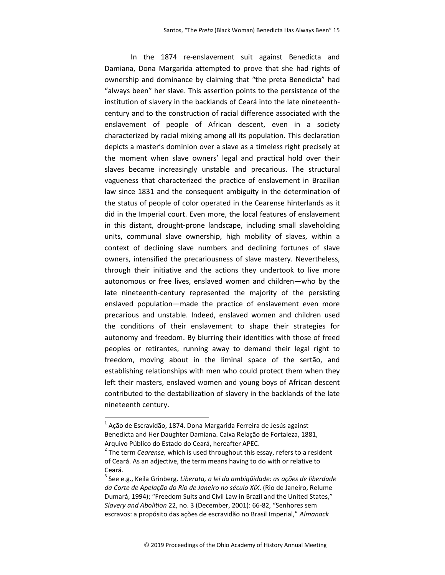In the 1874 re-enslavement suit against Benedicta and Damiana, Dona Margarida attempted to prove that she had rights of ownership and dominance by claiming that "the preta Benedicta" had "always been" her slave. This assertion points to the persistence of the institution of slavery in the backlands of Ceará into the late nineteenthcentury and to the construction of racial difference associated with the enslavement of people of African descent, even in a society characterized by racial mixing among all its population. This declaration depicts a master's dominion over a slave as a timeless right precisely at the moment when slave owners' legal and practical hold over their slaves became increasingly unstable and precarious. The structural vagueness that characterized the practice of enslavement in Brazilian law since 1831 and the consequent ambiguity in the determination of the status of people of color operated in the Cearense hinterlands as it did in the Imperial court. Even more, the local features of enslavement in this distant, drought-prone landscape, including small slaveholding units, communal slave ownership, high mobility of slaves, within a context of declining slave numbers and declining fortunes of slave owners, intensified the precariousness of slave mastery. Nevertheless, through their initiative and the actions they undertook to live more autonomous or free lives, enslaved women and children—who by the late nineteenth-century represented the majority of the persisting enslaved population—made the practice of enslavement even more precarious and unstable. Indeed, enslaved women and children used the conditions of their enslavement to shape their strategies for autonomy and freedom. By blurring their identities with those of freed peoples or retirantes, running away to demand their legal right to freedom, moving about in the liminal space of the sertão, and establishing relationships with men who could protect them when they left their masters, enslaved women and young boys of African descent contributed to the destabilization of slavery in the backlands of the late nineteenth century.

l

 $^{1}$  Ação de Escravidão, 1874. Dona Margarida Ferreira de Jesús against Benedicta and Her Daughter Damiana. Caixa Relação de Fortaleza, 1881, Arquivo Público do Estado do Ceará, hereafter APEC.

 $2$  The term *Cearense,* which is used throughout this essay, refers to a resident of Ceará. As an adjective, the term means having to do with or relative to Ceará.

 $^3$  See e.g., Keila Grinberg. *Liberata, a lei da ambigüidade: as ações de liberdade* da Corte de Apelação do Rio de Janeiro no século XIX. (Rio de Janeiro, Relume Dumará, 1994); "Freedom Suits and Civil Law in Brazil and the United States," Slavery and Abolition 22, no. 3 (December, 2001): 66-82, "Senhores sem escravos: a propósito das ações de escravidão no Brasil Imperial," Almanack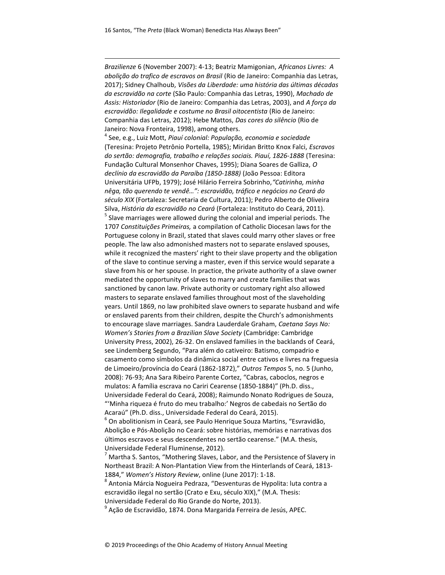l

Brazilienze 6 (November 2007): 4-13; Beatriz Mamigonian, Africanos Livres: A abolição do trafico de escravos on Brasil (Rio de Janeiro: Companhia das Letras, 2017); Sidney Chalhoub, Visões da Liberdade: uma história das últimas décadas da escravidão na corte (São Paulo: Companhia das Letras, 1990), Machado de Assis: Historiador (Rio de Janeiro: Companhia das Letras, 2003), and A força da escravidão: Ilegalidade e costume no Brasil oitocentista (Rio de Janeiro: Companhia das Letras, 2012); Hebe Mattos, Das cores do silêncio (Rio de Janeiro: Nova Fronteira, 1998), among others.

4 See, e.g., Luiz Mott, Piauí colonial: População, economia e sociedade (Teresina: Projeto Petrônio Portella, 1985); Miridan Britto Knox Falci, Escravos do sertão: demografia, trabalho e relações sociais. Piauí, 1826-1888 (Teresina: Fundação Cultural Monsenhor Chaves, 1995); Diana Soares de Galliza, O declínio da escravidão da Paraíba (1850-1888) (João Pessoa: Editora Universitária UFPb, 1979); José Hilário Ferreira Sobrinho,"Catirinha, minha nêga, tão querendo te vendê…": escravidão, tráfico e negócios no Ceará do século XIX (Fortaleza: Secretaria de Cultura, 2011); Pedro Alberto de Oliveira Silva, História da escravidão no Ceará (Fortaleza: Instituto do Ceará, 2011).  $<sup>5</sup>$  Slave marriages were allowed during the colonial and imperial periods. The</sup> 1707 Constituições Primeiras, a compilation of Catholic Diocesan laws for the Portuguese colony in Brazil, stated that slaves could marry other slaves or free people. The law also admonished masters not to separate enslaved spouses, while it recognized the masters' right to their slave property and the obligation of the slave to continue serving a master, even if this service would separate a slave from his or her spouse. In practice, the private authority of a slave owner mediated the opportunity of slaves to marry and create families that was sanctioned by canon law. Private authority or customary right also allowed masters to separate enslaved families throughout most of the slaveholding years. Until 1869, no law prohibited slave owners to separate husband and wife or enslaved parents from their children, despite the Church's admonishments to encourage slave marriages. Sandra Lauderdale Graham, Caetana Says No: Women's Stories from a Brazilian Slave Society (Cambridge: Cambridge University Press, 2002), 26-32. On enslaved families in the backlands of Ceará, see Lindemberg Segundo, "Para além do cativeiro: Batismo, compadrio e casamento como símbolos da dinâmica social entre cativos e livres na freguesia de Limoeiro/província do Ceará (1862-1872)," Outros Tempos 5, no. 5 (Junho, 2008): 76-93; Ana Sara Ribeiro Parente Cortez, "Cabras, caboclos, negros e mulatos: A família escrava no Cariri Cearense (1850-1884)" (Ph.D. diss., Universidade Federal do Ceará, 2008); Raimundo Nonato Rodrigues de Souza, "'Minha riqueza é fruto do meu trabalho:' Negros de cabedais no Sertão do Acaraú" (Ph.D. diss., Universidade Federal do Ceará, 2015).

 $^6$  On abolitionism in Ceará, see Paulo Henrique Souza Martins, "Esvravidão, Abolição e Pós-Abolição no Ceará: sobre histórias, memórias e narrativas dos últimos escravos e seus descendentes no sertão cearense." (M.A. thesis, Universidade Federal Fluminense, 2012).

 $^7$  Martha S. Santos, "Mothering Slaves, Labor, and the Persistence of Slavery in Northeast Brazil: A Non-Plantation View from the Hinterlands of Ceará, 1813- 1884," Women's History Review, online (June 2017): 1-18.

 $^8$  Antonia Márcia Nogueira Pedraza, "Desventuras de Hypolita: luta contra a escravidão ilegal no sertão (Crato e Exu, século XIX)," (M.A. Thesis: Universidade Federal do Rio Grande do Norte, 2013).

 $^9$  Ação de Escravidão, 1874. Dona Margarida Ferreira de Jesús, APEC.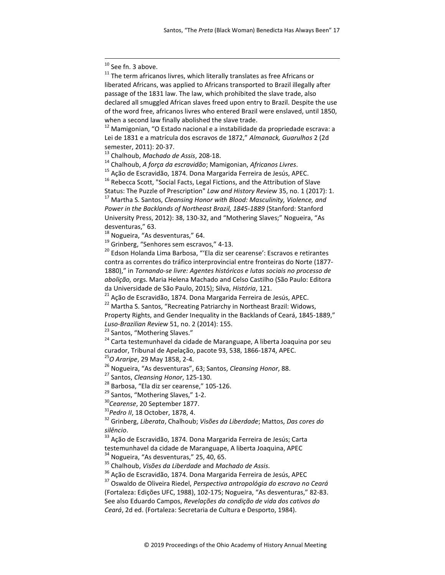<sup>10</sup> See fn. 3 above.

l

 $11$  The term africanos livres, which literally translates as free Africans or liberated Africans, was applied to Africans transported to Brazil illegally after passage of the 1831 law. The law, which prohibited the slave trade, also declared all smuggled African slaves freed upon entry to Brazil. Despite the use of the word free, africanos livres who entered Brazil were enslaved, until 1850, when a second law finally abolished the slave trade.

 $12$  Mamigonian, "O Estado nacional e a instabilidade da propriedade escrava: a Lei de 1831 e a matrícula dos escravos de 1872," Almanack, Guarulhos 2 (2d semester, 2011): 20-37.

<sup>13</sup> Chalhoub, Machado de Assis, 208-18.

 $14$  Chalhoub, A força da escravidão; Mamigonian, Africanos Livres.

<sup>15</sup> Ação de Escravidão, 1874. Dona Margarida Ferreira de Jesús, APEC.

<sup>16</sup> Rebecca Scott, "Social Facts, Legal Fictions, and the Attribution of Slave Status: The Puzzle of Prescription" Law and History Review 35, no. 1 (2017): 1. <sup>17</sup> Martha S. Santos, Cleansing Honor with Blood: Masculinity, Violence, and

Power in the Backlands of Northeast Brazil, 1845-1889 (Stanford: Stanford University Press, 2012): 38, 130-32, and "Mothering Slaves;" Nogueira, "As desventuras," 63.

 $18$  Nogueira, "As desventuras," 64.

<sup>19</sup> Grinberg, "Senhores sem escravos," 4-13.

<sup>20</sup> Edson Holanda Lima Barbosa, "'Ela diz ser cearense': Escravos e retirantes contra as correntes do tráfico interprovincial entre fronteiras do Norte (1877- 1880)," in Tornando-se livre: Agentes históricos e lutas sociais no processo de abolição, orgs. Maria Helena Machado and Celso Castilho (São Paulo: Editora da Universidade de São Paulo, 2015); Silva, História, 121.

<sup>21</sup> Ação de Escravidão, 1874. Dona Margarida Ferreira de Jesús, APEC.

<sup>22</sup> Martha S. Santos, "Recreating Patriarchy in Northeast Brazil: Widows, Property Rights, and Gender Inequality in the Backlands of Ceará, 1845-1889,"

Luso-Brazilian Review 51, no. 2 (2014): 155.

<sup>23</sup> Santos, "Mothering Slaves."

<sup>24</sup> Carta testemunhavel da cidade de Maranguape, A liberta Joaquina por seu curador, Tribunal de Apelação, pacote 93, 538, 1866-1874, APEC.

<sup>25</sup>O Araripe, 29 May 1858, 2-4.

<sup>26</sup> Nogueira, "As desventuras", 63; Santos, Cleansing Honor, 88.

<sup>27</sup> Santos, *Cleansing Honor*, 125-130.

<sup>28</sup> Barbosa, "Ela diz ser cearense," 105-126.

<sup>29</sup> Santos, "Mothering Slaves," 1-2.

<sup>30</sup>Cearense, 20 September 1877.

 $31$ Pedro II, 18 October, 1878, 4.

<sup>32</sup> Grinberg, Liberata, Chalhoub; Visões da Liberdade; Mattos, Das cores do silêncio.

<sup>33</sup> Ação de Escravidão, 1874. Dona Margarida Ferreira de Jesús; Carta testemunhavel da cidade de Maranguape, A liberta Joaquina, APEC

 $34$  Nogueira, "As desventuras," 25, 40, 65.

<sup>35</sup> Chalhoub, Visões da Liberdade and Machado de Assis.

<sup>36</sup> Ação de Escravidão, 1874. Dona Margarida Ferreira de Jesús, APEC

<sup>37</sup> Oswaldo de Oliveira Riedel, Perspectiva antropológia do escravo no Ceará (Fortaleza: Edições UFC, 1988), 102-175; Nogueira, "As desventuras," 82-83. See also Eduardo Campos, Revelações da condição de vida dos cativos do Ceará, 2d ed. (Fortaleza: Secretaria de Cultura e Desporto, 1984).